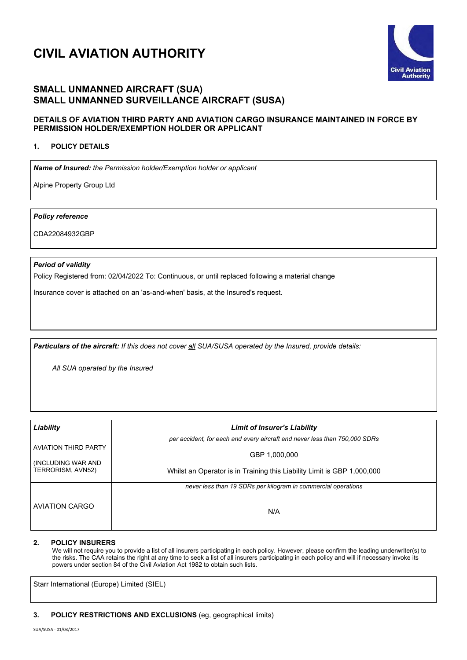# **CIVIL AVIATION AUTHORITY**



## **SMALL UNMANNED AIRCRAFT (SUA) SMALL UNMANNED SURVEILLANCE AIRCRAFT (SUSA)**

### **DETAILS OF AVIATION THIRD PARTY AND AVIATION CARGO INSURANCE MAINTAINED IN FORCE BY PERMISSION HOLDER/EXEMPTION HOLDER OR APPLICANT**

#### **1. POLICY DETAILS**

*Name of Insured: the Permission holder/Exemption holder or applicant*

Alpine Property Group Ltd

*Policy reference*

CDA22084932GBP

#### *Period of validity*

Policy Registered from: 02/04/2022 To: Continuous, or until replaced following a material change

Insurance cover is attached on an 'as-and-when' basis, at the Insured's request.

*Particulars of the aircraft: If this does not cover all SUA/SUSA operated by the Insured, provide details:*

*All SUA operated by the Insured* 

| Liability                   | <b>Limit of Insurer's Liability</b>                                        |
|-----------------------------|----------------------------------------------------------------------------|
| <b>AVIATION THIRD PARTY</b> | per accident, for each and every aircraft and never less than 750,000 SDRs |
| (INCLUDING WAR AND          | GBP 1,000,000                                                              |
| TERRORISM, AVN52)           | Whilst an Operator is in Training this Liability Limit is GBP 1,000,000    |
|                             | never less than 19 SDRs per kilogram in commercial operations              |
| <b>AVIATION CARGO</b>       | N/A                                                                        |

#### **2. POLICY INSURERS**

We will not require you to provide a list of all insurers participating in each policy. However, please confirm the leading underwriter(s) to the risks. The CAA retains the right at any time to seek a list of all insurers participating in each policy and will if necessary invoke its powers under section 84 of the Civil Aviation Act 1982 to obtain such lists.

Starr International (Europe) Limited (SIEL)

#### **3. POLICY RESTRICTIONS AND EXCLUSIONS** (eg, geographical limits)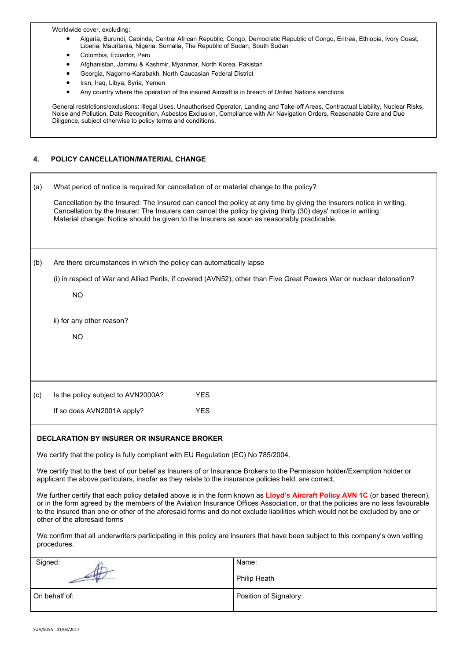Worldwide cover, excluding:

- Algeria, Burundi, Cabinda, Central African Republic, Congo, Democratic Republic of Congo, Eritrea, Ethiopia, Ivory Coast, Liberia, Mauritania, Nigeria, Somalia, The Republic of Sudan, South Sudan
- Colombia, Ecuador, Peru
- Afghanistan, Jammu & Kashmir, Myanmar, North Korea, Pakistan
- Georgia, Nagorno-Karabakh, North Caucasian Federal District
- Iran, Iraq, Libya, Syria, Yemen
- Any country where the operation of the insured Aircraft is in breach of United Nations sanctions

General restrictions/exclusions: Illegal Uses, Unauthorised Operator, Landing and Take-off Areas, Contractual Liability, Nuclear Risks, Noise and Pollution, Date Recognition, Asbestos Exclusion, Compliance with Air Navigation Orders, Reasonable Care and Due Diligence, subject otherwise to policy terms and conditions.

#### **4. POLICY CANCELLATION/MATERIAL CHANGE**

| (a) |                                                                                    | What period of notice is required for cancellation of or material change to the policy?<br>Cancellation by the Insured: The Insured can cancel the policy at any time by giving the Insurers notice in writing.<br>Cancellation by the Insurer: The Insurers can cancel the policy by giving thirty (30) days' notice in writing.<br>Material change: Notice should be given to the Insurers as soon as reasonably practicable. |  |
|-----|------------------------------------------------------------------------------------|---------------------------------------------------------------------------------------------------------------------------------------------------------------------------------------------------------------------------------------------------------------------------------------------------------------------------------------------------------------------------------------------------------------------------------|--|
| (b) | Are there circumstances in which the policy can automatically lapse                |                                                                                                                                                                                                                                                                                                                                                                                                                                 |  |
|     |                                                                                    | (i) in respect of War and Allied Perils, if covered (AVN52), other than Five Great Powers War or nuclear detonation?                                                                                                                                                                                                                                                                                                            |  |
|     | <b>NO</b>                                                                          |                                                                                                                                                                                                                                                                                                                                                                                                                                 |  |
|     |                                                                                    |                                                                                                                                                                                                                                                                                                                                                                                                                                 |  |
|     | ii) for any other reason?                                                          |                                                                                                                                                                                                                                                                                                                                                                                                                                 |  |
|     | <b>NO</b>                                                                          |                                                                                                                                                                                                                                                                                                                                                                                                                                 |  |
|     |                                                                                    |                                                                                                                                                                                                                                                                                                                                                                                                                                 |  |
|     |                                                                                    |                                                                                                                                                                                                                                                                                                                                                                                                                                 |  |
| (c) | Is the policy subject to AVN2000A?                                                 | <b>YES</b>                                                                                                                                                                                                                                                                                                                                                                                                                      |  |
|     | If so does AVN2001A apply?                                                         | <b>YES</b>                                                                                                                                                                                                                                                                                                                                                                                                                      |  |
|     |                                                                                    |                                                                                                                                                                                                                                                                                                                                                                                                                                 |  |
|     | <b>DECLARATION BY INSURER OR INSURANCE BROKER</b>                                  |                                                                                                                                                                                                                                                                                                                                                                                                                                 |  |
|     | We certify that the policy is fully compliant with EU Regulation (EC) No 785/2004. |                                                                                                                                                                                                                                                                                                                                                                                                                                 |  |

We certify that to the best of our belief as Insurers of or Insurance Brokers to the Permission holder/Exemption holder or applicant the above particulars, insofar as they relate to the insurance policies held, are correct.

We further certify that each policy detailed above is in the form known as **Lloyd's Aircraft Policy AVN 1C** (or based thereon), or in the form agreed by the members of the Aviation Insurance Offices Association, or that the policies are no less favourable to the insured than one or other of the aforesaid forms and do not exclude liabilities which would not be excluded by one or other of the aforesaid forms

We confirm that all underwriters participating in this policy are insurers that have been subject to this company's own vetting procedures.

| Signed:         | Name:                  |
|-----------------|------------------------|
| $\rightarrow$   | Philip Heath           |
| l On behalf of: | Position of Signatory: |